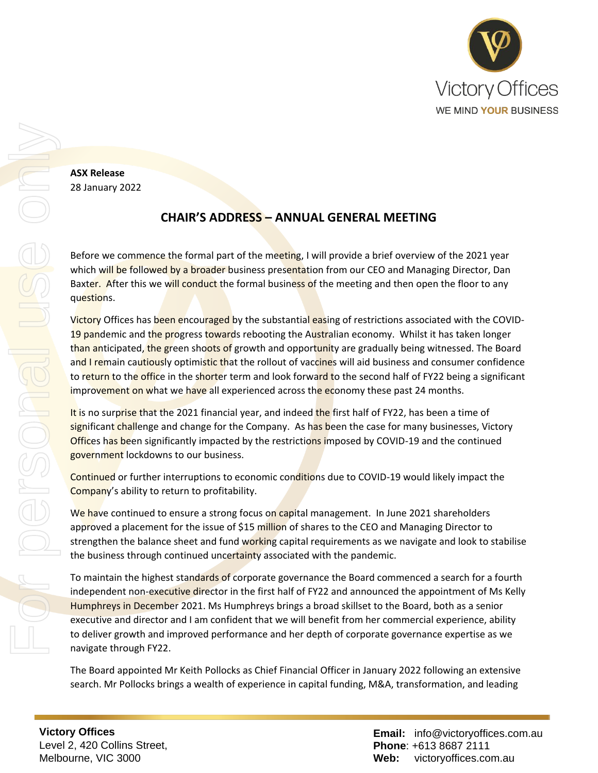

**ASX Release** 28 January 2022

## **CHAIR'S ADDRESS – ANNUAL GENERAL MEETING**

Before we commence the formal part of the meeting, I will provide a brief overview of the 2021 year which will be followed by a broader business presentation from our CEO and Managing Director, Dan Baxter. After this we will conduct the formal business of the meeting and then open the floor to any questions.

Victory Offices has been encouraged by the substantial easing of restrictions associated with the COVID-19 pandemic and the progress towards rebooting the Australian economy. Whilst it has taken longer than anticipated, the green shoots of growth and opportunity are gradually being witnessed. The Board and I remain cautiously optimistic that the rollout of vaccines will aid business and consumer confidence to return to the office in the shorter term and look forward to the second half of FY22 being a significant improvement on what we have all experienced across the economy these past 24 months.

It is no surprise that the 2021 financial year, and indeed the first half of FY22, has been a time of significant challenge and change for the Company. As has been the case for many businesses, Victory Offices has been significantly impacted by the restrictions imposed by COVID-19 and the continued government lockdowns to our business.

Continued or further interruptions to economic conditions due to COVID-19 would likely impact the Company's ability to return to profitability.

We have continued to ensure a strong focus on capital management. In June 2021 shareholders approved a placement for the issue of \$15 million of shares to the CEO and Managing Director to strengthen the balance sheet and fund working capital requirements as we navigate and look to stabilise the business through continued uncertainty associated with the pandemic.

To maintain the highest standards of corporate governance the Board commenced a search for a fourth independent non-executive director in the first half of FY22 and announced the appointment of Ms Kelly Humphreys in December 2021. Ms Humphreys brings a broad skillset to the Board, both as a senior executive and director and I am confident that we will benefit from her commercial experience, ability to deliver growth and improved performance and her depth of corporate governance expertise as we navigate through FY22.

The Board appointed Mr Keith Pollocks as Chief Financial Officer in January 2022 following an extensive search. Mr Pollocks brings a wealth of experience in capital funding, M&A, transformation, and leading

**Victory Offices**  Level 2, 420 Collins Street, Melbourne, VIC 3000

**Email:** info@victoryoffices.com.au **Phone**: +613 8687 2111 **Web:** victoryoffices.com.au